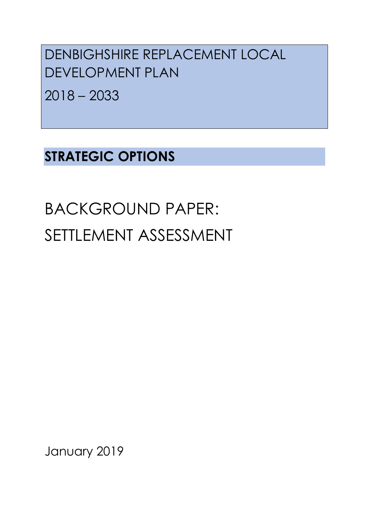DENBIGHSHIRE REPLACEMENT LOCAL DEVELOPMENT PLAN

2018 – 2033

# **STRATEGIC OPTIONS**

BACKGROUND PAPER: SETTLEMENT ASSESSMENT

January 2019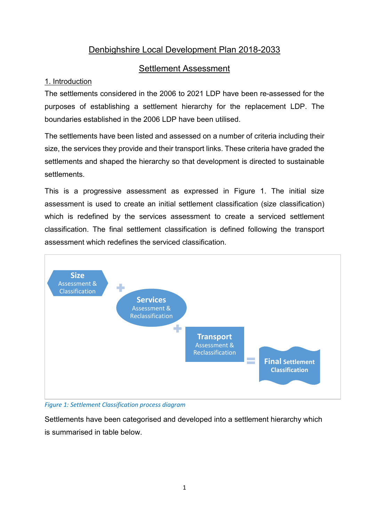## Denbighshire Local Development Plan 2018-2033

### Settlement Assessment

#### 1. Introduction

The settlements considered in the 2006 to 2021 LDP have been re-assessed for the purposes of establishing a settlement hierarchy for the replacement LDP. The boundaries established in the 2006 LDP have been utilised.

The settlements have been listed and assessed on a number of criteria including their size, the services they provide and their transport links. These criteria have graded the settlements and shaped the hierarchy so that development is directed to sustainable settlements.

This is a progressive assessment as expressed in Figure 1. The initial size assessment is used to create an initial settlement classification (size classification) which is redefined by the services assessment to create a serviced settlement classification. The final settlement classification is defined following the transport assessment which redefines the serviced classification.



*Figure 1: Settlement Classification process diagram*

Settlements have been categorised and developed into a settlement hierarchy which is summarised in table below.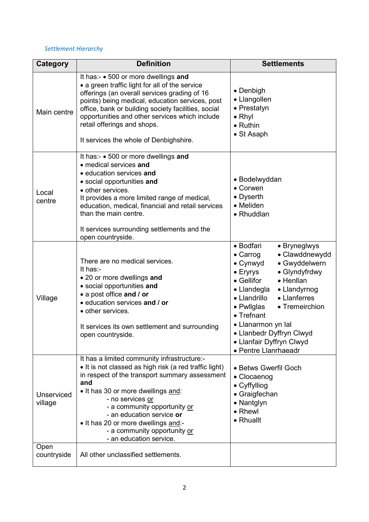#### *Settlement Hierarchy*

| Category                     | <b>Definition</b>                                                                                                                                                                                                                                                                                                                                                                       | <b>Settlements</b>                                                                                                                                                                                                                                                                                                                                                                              |
|------------------------------|-----------------------------------------------------------------------------------------------------------------------------------------------------------------------------------------------------------------------------------------------------------------------------------------------------------------------------------------------------------------------------------------|-------------------------------------------------------------------------------------------------------------------------------------------------------------------------------------------------------------------------------------------------------------------------------------------------------------------------------------------------------------------------------------------------|
| Main centre                  | It has:- • 500 or more dwellings and<br>• a green traffic light for all of the service<br>offerings (an overall services grading of 16<br>points) being medical, education services, post<br>office, bank or building society facilities, social<br>opportunities and other services which include<br>retail offerings and shops.<br>It services the whole of Denbighshire.             | $\bullet$ Denbigh<br>• Llangollen<br>• Prestatyn<br>$\bullet$ Rhyl<br>$\bullet$ Ruthin<br>• St Asaph                                                                                                                                                                                                                                                                                            |
| Local<br>centre              | It has:- • 500 or more dwellings and<br>• medical services and<br>· education services and<br>• social opportunities and<br>• other services.<br>It provides a more limited range of medical,<br>education, medical, financial and retail services<br>than the main centre.<br>It services surrounding settlements and the<br>open countryside.                                         | • Bodelwyddan<br>• Corwen<br>• Dyserth<br>• Meliden<br>• Rhuddlan                                                                                                                                                                                                                                                                                                                               |
| Village                      | There are no medical services.<br>It has:-<br>• 20 or more dwellings and<br>• social opportunities and<br>• a post office and / or<br>· education services and / or<br>• other services.<br>It services its own settlement and surrounding<br>open countryside.                                                                                                                         | • Bodfari<br>• Bryneglwys<br>$\bullet$ Carrog<br>· Clawddnewydd<br>$\bullet$ Cynwyd<br>• Gwyddelwern<br>$\bullet$ Eryrys<br>• Glyndyfrdwy<br>• Gellifor<br>• Henllan<br>• Llandegla<br>• Llandyrnog<br>• Llandrillo<br>• Llanferres<br>• Pwllglas<br>• Tremeirchion<br>$\bullet$ Trefnant<br>• Llanarmon yn Ial<br>• Llanbedr Dyffryn Clwyd<br>• Llanfair Dyffryn Clwyd<br>• Pentre Llanrhaeadr |
| <b>Unserviced</b><br>village | It has a limited community infrastructure:-<br>• It is not classed as high risk (a red traffic light)<br>in respect of the transport summary assessment<br>and<br>• It has 30 or more dwellings and:<br>- no services or<br>- a community opportunity or<br>- an education service or<br>• It has 20 or more dwellings and:-<br>- a community opportunity or<br>- an education service. | • Betws Gwerfil Goch<br>• Clocaenog<br>• Cyffylliog<br>• Graigfechan<br>• Nantglyn<br>• Rhewl<br>• Rhuallt                                                                                                                                                                                                                                                                                      |
| Open<br>countryside          | All other unclassified settlements.                                                                                                                                                                                                                                                                                                                                                     |                                                                                                                                                                                                                                                                                                                                                                                                 |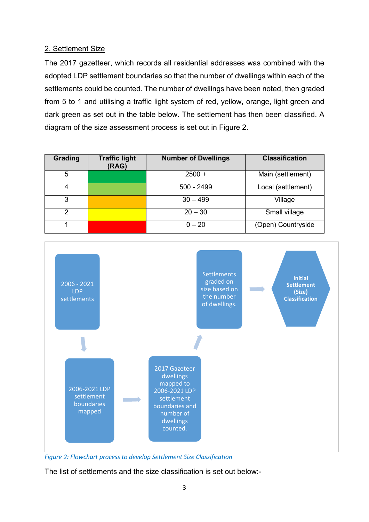#### 2. Settlement Size

The 2017 gazetteer, which records all residential addresses was combined with the adopted LDP settlement boundaries so that the number of dwellings within each of the settlements could be counted. The number of dwellings have been noted, then graded from 5 to 1 and utilising a traffic light system of red, yellow, orange, light green and dark green as set out in the table below. The settlement has then been classified. A diagram of the size assessment process is set out in Figure 2.

| <b>Grading</b> | <b>Traffic light</b><br>(RAG) | <b>Number of Dwellings</b> | <b>Classification</b> |
|----------------|-------------------------------|----------------------------|-----------------------|
| 5              |                               | $2500 +$                   | Main (settlement)     |
| 4              |                               | $500 - 2499$               | Local (settlement)    |
| 3              |                               | $30 - 499$                 | Village               |
| $\mathcal{P}$  |                               | $20 - 30$                  | Small village         |
|                |                               | $0 - 20$                   | (Open) Countryside    |



*Figure 2: Flowchart process to develop Settlement Size Classification*

The list of settlements and the size classification is set out below:-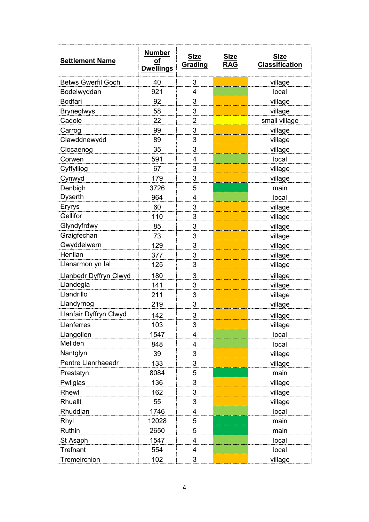| <b>Settlement Name</b>    | <b>Number</b><br>Οf<br><b>Dwellings</b> | <b>Size</b><br>Grading | <b>Size</b><br><b>RAG</b> | <b>Size</b><br><b>Classification</b> |
|---------------------------|-----------------------------------------|------------------------|---------------------------|--------------------------------------|
| <b>Betws Gwerfil Goch</b> | 40                                      | 3                      |                           | village                              |
| Bodelwyddan               | 921                                     | 4                      |                           | local                                |
| <b>Bodfari</b>            | 92                                      | 3                      |                           | village                              |
| <b>Bryneglwys</b>         | 58                                      | 3                      |                           | village                              |
| Cadole                    | 22                                      | $\overline{2}$         |                           | small village                        |
| Carrog                    | 99                                      | 3                      |                           | village                              |
| Clawddnewydd              | 89                                      | 3                      |                           | village                              |
| Clocaenog                 | 35                                      | 3                      |                           | village                              |
| Corwen                    | 591                                     | 4                      |                           | local                                |
| Cyffylliog                | 67                                      | 3                      |                           | village                              |
| Cynwyd                    | 179                                     | $\overline{3}$         |                           | village                              |
| Denbigh                   | 3726                                    | 5                      |                           | main                                 |
| <b>Dyserth</b>            | 964                                     | $\overline{4}$         |                           | local                                |
| Eryrys                    | 60                                      | 3                      |                           | village                              |
| Gellifor                  | 110                                     | 3                      |                           | village                              |
| Glyndyfrdwy               | 85                                      | 3                      |                           | village                              |
| Graigfechan               | 73                                      | 3                      |                           | village                              |
| Gwyddelwern               | 129                                     | 3                      |                           | village                              |
| Henllan                   | 377                                     | 3                      |                           | village                              |
| Llanarmon yn Ial          | 125                                     | 3                      |                           | village                              |
| Llanbedr Dyffryn Clwyd    | 180                                     | 3                      |                           | village                              |
| Llandegla                 | 141                                     | 3                      |                           | village                              |
| Llandrillo                | 211                                     | 3                      |                           | village                              |
| Llandyrnog                | 219                                     | 3                      |                           | village                              |
| Llanfair Dyffryn Clwyd    | 142                                     | 3                      |                           | village                              |
| Llanferres                | 103                                     | 3                      |                           | village                              |
| Llangollen                | 1547                                    | 4                      |                           | local                                |
| Meliden                   | 848                                     | 4                      |                           | local                                |
| Nantglyn                  | 39                                      | 3                      |                           | village                              |
| Pentre Llanrhaeadr        | 133                                     | 3                      |                           | village                              |
| Prestatyn                 | 8084                                    | 5                      |                           | main                                 |
| Pwllglas                  | 136                                     | 3                      |                           | village                              |
| Rhewl                     | 162                                     | 3                      |                           | village                              |
| Rhuallt                   | 55                                      | 3                      |                           | village                              |
| Rhuddlan                  | 1746                                    | 4                      |                           | local                                |
| Rhyl                      | 12028                                   | 5                      |                           | main                                 |
| Ruthin                    | 2650                                    | 5                      |                           | main                                 |
| St Asaph                  | 1547                                    | 4                      |                           | local                                |
| Trefnant                  | 554                                     | 4                      |                           | local                                |
| Tremeirchion              | 102                                     | 3                      |                           | village                              |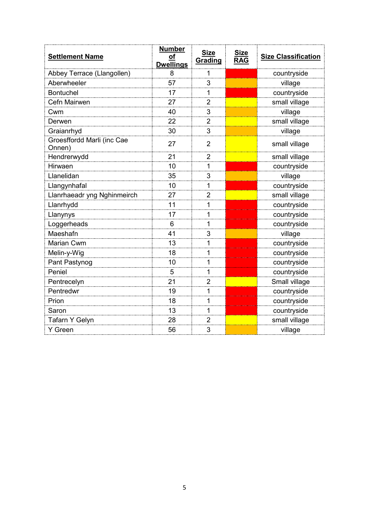| <b>Settlement Name</b>               | <b>Number</b><br>of<br><b>Dwellings</b> | <b>Size</b><br>Grading | <b>Size</b><br><b>RAG</b> | <b>Size Classification</b> |
|--------------------------------------|-----------------------------------------|------------------------|---------------------------|----------------------------|
| Abbey Terrace (Llangollen)           | 8                                       | 1                      |                           | countryside                |
| Aberwheeler                          | 57                                      | 3                      |                           | village                    |
| <b>Bontuchel</b>                     | 17                                      | 1                      |                           | countryside                |
| Cefn Mairwen                         | 27                                      | $\overline{2}$         |                           | small village              |
| Cwm                                  | 40                                      | 3                      |                           | village                    |
| Derwen                               | 22                                      | $\overline{2}$         |                           | small village              |
| Graianrhyd                           | 30                                      | 3                      |                           | village                    |
| Groesffordd Marli (inc Cae<br>Onnen) | 27                                      | $\overline{2}$         |                           | small village              |
| Hendrerwydd                          | 21                                      | $\overline{2}$         |                           | small village              |
| Hirwaen                              | 10                                      | 1                      |                           | countryside                |
| Llanelidan                           | 35                                      | 3                      |                           | village                    |
| Llangynhafal                         | 10                                      | 1                      |                           | countryside                |
| Llanrhaeadr yng Nghinmeirch          | 27                                      | $\overline{2}$         |                           | small village              |
| Llanrhydd                            | 11                                      | 1                      |                           | countryside                |
| Llanynys                             | 17                                      | 1                      |                           | countryside                |
| Loggerheads                          | 6                                       | 1                      |                           | countryside                |
| Maeshafn                             | 41                                      | 3                      |                           | village                    |
| Marian Cwm                           | 13                                      | 1                      |                           | countryside                |
| Melin-y-Wig                          | 18                                      | 1                      |                           | countryside                |
| Pant Pastynog                        | 10                                      | 1                      |                           | countryside                |
| Peniel                               | 5                                       | 1                      |                           | countryside                |
| Pentrecelyn                          | 21                                      | $\overline{2}$         |                           | Small village              |
| Pentredwr                            | 19                                      | 1                      |                           | countryside                |
| Prion                                | 18                                      | 1                      |                           | countryside                |
| Saron                                | 13                                      | 1                      |                           | countryside                |
| Tafarn Y Gelyn                       | 28                                      | $\overline{2}$         |                           | small village              |
| Y Green                              | 56                                      | 3                      |                           | village                    |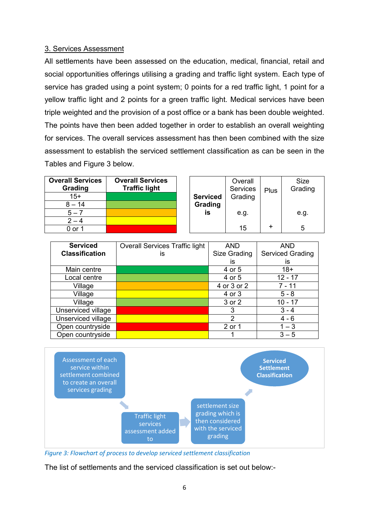#### 3. Services Assessment

All settlements have been assessed on the education, medical, financial, retail and social opportunities offerings utilising a grading and traffic light system. Each type of service has graded using a point system; 0 points for a red traffic light, 1 point for a yellow traffic light and 2 points for a green traffic light. Medical services have been triple weighted and the provision of a post office or a bank has been double weighted. The points have then been added together in order to establish an overall weighting for services. The overall services assessment has then been combined with the size assessment to establish the serviced settlement classification as can be seen in the Tables and Figure 3 below.

| <b>Overall Services</b><br>Grading | <b>Overall Services</b><br><b>Traffic light</b> |                 | Overall<br>Services | Plus | <b>Size</b><br>Grading |
|------------------------------------|-------------------------------------------------|-----------------|---------------------|------|------------------------|
| $15+$                              |                                                 | <b>Serviced</b> | Grading             |      |                        |
| $8 - 14$                           |                                                 | Grading         |                     |      |                        |
| $5 - 7$                            |                                                 | is              | e.g.                |      | e.g.                   |
|                                    |                                                 |                 |                     |      |                        |
| 0 or 1                             |                                                 |                 | 15                  |      | 5                      |

| <b>Serviced</b>       | <b>Overall Services Traffic light</b> | <b>AND</b>   | <b>AND</b>              |
|-----------------------|---------------------------------------|--------------|-------------------------|
| <b>Classification</b> | İS                                    | Size Grading | <b>Serviced Grading</b> |
|                       |                                       | İS           | İS                      |
| Main centre           |                                       | 4 or 5       | $18+$                   |
| Local centre          |                                       | 4 or 5       | $12 - 17$               |
| Village               |                                       | 4 or 3 or 2  | $7 - 11$                |
| Village               |                                       | 4 or 3       | $5 - 8$                 |
| Village               |                                       | 3 or 2       | $10 - 17$               |
| Unserviced village    |                                       | 3            | $3 - 4$                 |
| Unserviced village    |                                       | 2            | $4 - 6$                 |
| Open countryside      |                                       | 2 or 1       | $1 - 3$                 |
| Open countryside      |                                       |              | $3 - 5$                 |



*Figure 3: Flowchart of process to develop serviced settlement classification*

The list of settlements and the serviced classification is set out below:-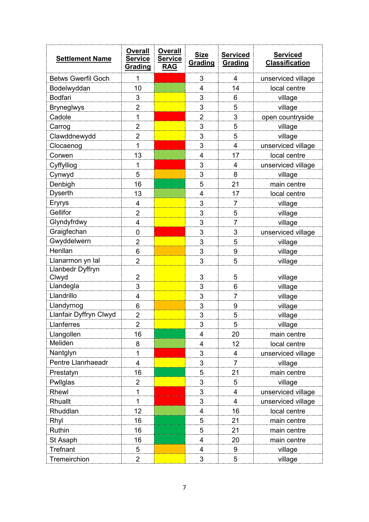| <b>Settlement Name</b>         | <b>Overall</b><br><b>Service</b><br>Grading | <b>Overall</b><br><b>Service</b><br><b>RAG</b> | <b>Size</b><br>Grading  | <b>Serviced</b><br>Grading       | <b>Serviced</b><br><b>Classification</b> |
|--------------------------------|---------------------------------------------|------------------------------------------------|-------------------------|----------------------------------|------------------------------------------|
| <b>Betws Gwerfil Goch</b>      | 1                                           |                                                | 3                       | 4                                | unserviced village                       |
| Bodelwyddan                    | 10                                          |                                                | 4                       | 14                               | local centre                             |
| <b>Bodfari</b>                 | 3                                           |                                                | 3                       | 6                                | village                                  |
| <b>Bryneglwys</b>              | $\overline{2}$                              |                                                | 3                       | 5                                | village                                  |
| Cadole                         | 1                                           |                                                | $\overline{2}$          | 3                                | open countryside                         |
| Carrog                         | $\overline{2}$                              |                                                | 3                       | 5                                | village                                  |
| Clawddnewydd                   | $\overline{2}$                              |                                                | 3                       | 5                                | village                                  |
| Clocaenog                      | 1                                           |                                                | 3                       | 4                                | unserviced village                       |
| Corwen                         | 13                                          |                                                | 4                       | 17                               | local centre                             |
| Cyffylliog                     | $\mathbf{1}$                                |                                                | 3                       | 4                                | unserviced village                       |
| Cynwyd                         | 5                                           |                                                | 3                       | 8                                | village                                  |
| Denbigh                        | 16                                          |                                                | 5                       | 21                               | main centre                              |
| <b>Dyserth</b>                 | 13                                          |                                                | $\overline{4}$          | 17                               | local centre                             |
| Eryrys                         | 4                                           |                                                | 3                       | $\overline{7}$                   | village                                  |
| Gellifor                       | $\overline{2}$                              |                                                | 3                       | 5                                | village                                  |
| Glyndyfrdwy                    | 4                                           |                                                | 3                       | 7                                | village                                  |
| Graigfechan                    | $\mathbf 0$                                 |                                                | 3                       | 3                                | unserviced village                       |
| Gwyddelwern                    | $\overline{2}$                              |                                                | 3                       | 5                                | village                                  |
| Henllan                        | 6                                           |                                                | 3                       | 9                                | village                                  |
| Llanarmon yn Ial               | $\overline{2}$                              |                                                | 3                       | 5                                | village                                  |
| Llanbedr Dyffryn               |                                             |                                                |                         |                                  |                                          |
| Clwyd                          | $\overline{2}$                              |                                                | 3                       | 5                                | village                                  |
| Llandegla                      | 3                                           |                                                | 3                       | 6                                | village                                  |
| Llandrillo                     | 4                                           |                                                | 3                       | $\overline{7}$                   | village                                  |
| Llandyrnog                     | 6                                           |                                                | 3                       | 9                                | village                                  |
| Llanfair Dyffryn Clwyd         | $\overline{2}$                              |                                                | 3                       | 5                                | village                                  |
| Llanferres                     | 2                                           |                                                | 3                       | 5                                | village                                  |
| Llangollen                     | 16                                          |                                                | 4                       | 20                               | main centre                              |
| Meliden                        | 8                                           |                                                | $\overline{4}$          | 12                               | local centre                             |
| Nantglyn<br>Pentre Llanrhaeadr | 1                                           |                                                | 3                       | 4<br>$\overline{7}$              | unserviced village                       |
|                                | 4                                           |                                                | 3                       |                                  | village                                  |
| Prestatyn                      | 16                                          |                                                | 5                       | 21                               | main centre                              |
| Pwllglas                       | $\overline{2}$                              |                                                | 3<br>3                  | 5                                | village                                  |
| Rhewl                          | 1<br>$\mathbf{1}$                           |                                                | 3                       | $\overline{4}$<br>$\overline{4}$ | unserviced village                       |
| Rhuallt<br>Rhuddlan            | 12                                          |                                                | 4                       |                                  | unserviced village                       |
|                                |                                             |                                                |                         | 16                               | local centre                             |
| Rhyl<br>Ruthin                 | 16<br>16                                    |                                                | 5<br>5                  | 21<br>21                         | main centre                              |
|                                |                                             |                                                | $\overline{4}$          | 20                               | main centre                              |
| St Asaph                       | 16                                          |                                                |                         |                                  | main centre                              |
| <b>Trefnant</b>                | 5                                           |                                                | $\overline{\mathbf{4}}$ | 9                                | village                                  |
| Tremeirchion                   | $\overline{2}$                              |                                                | 3                       | 5                                | village                                  |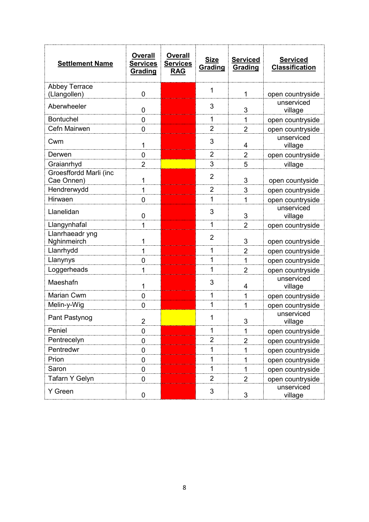| <b>Settlement Name</b> | <b>Overall</b><br><b>Services</b><br>Grading | <b>Overall</b><br><b>Services</b><br><b>RAG</b> | <b>Size</b><br>Grading | <b>Serviced</b><br>Grading | <b>Serviced</b><br><b>Classification</b> |
|------------------------|----------------------------------------------|-------------------------------------------------|------------------------|----------------------------|------------------------------------------|
| <b>Abbey Terrace</b>   |                                              |                                                 | 1                      |                            |                                          |
| (Llangollen)           | 0                                            |                                                 |                        | 1                          | open countryside                         |
| Aberwheeler            | 0                                            |                                                 | 3                      | 3                          | unserviced<br>village                    |
| <b>Bontuchel</b>       | 0                                            |                                                 | 1                      | $\mathbf{1}$               | open countryside                         |
| Cefn Mairwen           | 0                                            |                                                 | $\overline{2}$         | $\overline{2}$             | open countryside                         |
| Cwm                    | 1                                            |                                                 | 3                      | 4                          | unserviced<br>village                    |
| Derwen                 | 0                                            |                                                 | $\overline{2}$         | $\overline{\mathbf{c}}$    | open countryside                         |
| Graianrhyd             | $\overline{2}$                               |                                                 | 3                      | 5                          | village                                  |
| Groesffordd Marli (inc |                                              |                                                 | $\overline{2}$         |                            |                                          |
| Cae Onnen)             | 1                                            |                                                 |                        | 3                          | open countyside                          |
| Hendrerwydd            | 1                                            |                                                 | $\overline{2}$         | 3                          | open countryside                         |
| Hirwaen                | 0                                            |                                                 | 1                      | 1                          | open countryside                         |
| Llanelidan             | 0                                            |                                                 | 3                      | 3                          | unserviced<br>village                    |
| Llangynhafal           | 1                                            |                                                 | 1                      | $\overline{2}$             | open countryside                         |
| Llanrhaeadr yng        |                                              |                                                 | $\overline{2}$         |                            |                                          |
| Nghinmeirch            | 1                                            |                                                 |                        | 3                          | open countryside                         |
| Llanrhydd              | 1                                            |                                                 | 1                      | $\overline{2}$             | open countryside                         |
| Llanynys               | 0                                            |                                                 | 1                      | $\mathbf{1}$               | open countryside                         |
| Loggerheads            | 1                                            |                                                 | 1                      | $\overline{2}$             | open countryside                         |
| Maeshafn               | 1                                            |                                                 | 3                      | 4                          | unserviced<br>village                    |
| Marian Cwm             | 0                                            |                                                 | 1                      | 1                          | open countryside                         |
| Melin-y-Wig            | 0                                            |                                                 | 1                      | $\mathbf{1}$               | open countryside                         |
| Pant Pastynog          | $\overline{2}$                               |                                                 | 1                      | 3                          | unserviced<br>village                    |
| Peniel                 | 0                                            |                                                 | 1                      | 1                          | open countryside                         |
| Pentrecelyn            | $\mathbf 0$                                  |                                                 | $\overline{2}$         | $\overline{2}$             | open countryside                         |
| Pentredwr              | $\boldsymbol{0}$                             |                                                 | 1                      | 1                          | open countryside                         |
| Prion                  | 0                                            |                                                 | 1                      | 1                          | open countryside                         |
| Saron                  | $\mathbf 0$                                  |                                                 | 1                      | 1                          | open countryside                         |
| Tafarn Y Gelyn         | $\boldsymbol{0}$                             |                                                 | $\overline{2}$         | $\overline{2}$             | open countryside                         |
| Y Green                | $\boldsymbol{0}$                             |                                                 | 3                      | 3                          | unserviced<br>village                    |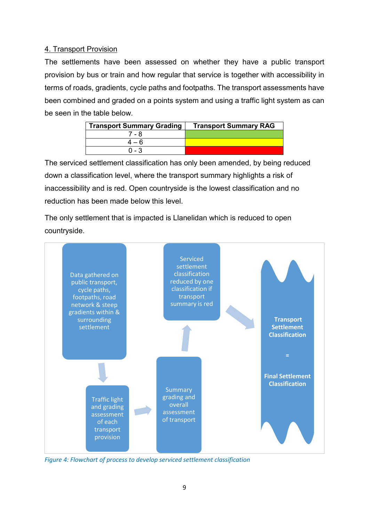#### 4. Transport Provision

The settlements have been assessed on whether they have a public transport provision by bus or train and how regular that service is together with accessibility in terms of roads, gradients, cycle paths and footpaths. The transport assessments have been combined and graded on a points system and using a traffic light system as can be seen in the table below.

| <b>Transport Summary Grading</b> | <b>Transport Summary RAG</b> |
|----------------------------------|------------------------------|
| 7 - 8                            |                              |
| $4 - 6$                          |                              |
| በ - 3                            |                              |

The serviced settlement classification has only been amended, by being reduced down a classification level, where the transport summary highlights a risk of inaccessibility and is red. Open countryside is the lowest classification and no reduction has been made below this level.

The only settlement that is impacted is Llanelidan which is reduced to open countryside.



*Figure 4: Flowchart of process to develop serviced settlement classification*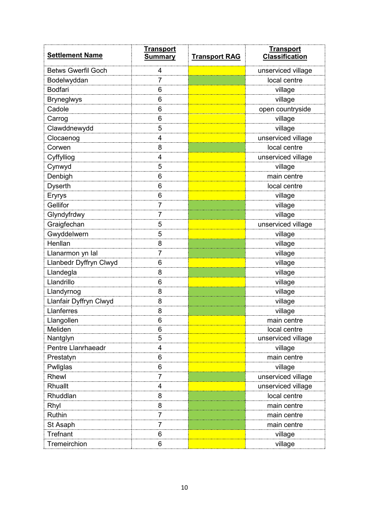| <b>Settlement Name</b>    | <u>Transport</u><br><b>Summary</b> | <b>Transport RAG</b> | <b>Transport</b><br><b>Classification</b> |
|---------------------------|------------------------------------|----------------------|-------------------------------------------|
| <b>Betws Gwerfil Goch</b> | 4                                  |                      | unserviced village                        |
| Bodelwyddan               | 7                                  |                      | local centre                              |
| <b>Bodfari</b>            | 6                                  |                      | village                                   |
| <b>Bryneglwys</b>         | 6                                  |                      | village                                   |
| Cadole                    | 6                                  |                      | open countryside                          |
| Carrog                    | 6                                  |                      | village                                   |
| Clawddnewydd              | 5                                  |                      | village                                   |
| Clocaenog                 | 4                                  |                      | unserviced village                        |
| Corwen                    | 8                                  |                      | local centre                              |
| Cyffylliog                | 4                                  |                      | unserviced village                        |
| Cynwyd                    | 5                                  |                      | village                                   |
| Denbigh                   | 6                                  |                      | main centre                               |
| <b>Dyserth</b>            | 6                                  |                      | local centre                              |
| Eryrys                    | 6                                  |                      | village                                   |
| Gellifor                  | 7                                  |                      | village                                   |
| Glyndyfrdwy               | 7                                  |                      | village                                   |
| Graigfechan               | 5                                  |                      | unserviced village                        |
| Gwyddelwern               | 5                                  |                      | village                                   |
| Henllan                   | 8                                  |                      | village                                   |
| Llanarmon yn Ial          | 7                                  |                      | village                                   |
| Llanbedr Dyffryn Clwyd    | 6                                  |                      | village                                   |
| Llandegla                 | 8                                  |                      | village                                   |
| Llandrillo                | 6                                  |                      | village                                   |
| Llandyrnog                | 8                                  |                      | village                                   |
| Llanfair Dyffryn Clwyd    | 8                                  |                      | village                                   |
| Llanferres                | 8                                  |                      | village                                   |
| Llangollen                | 6                                  |                      | main centre                               |
| Meliden                   | 6                                  |                      | local centre                              |
| Nantglyn                  | 5                                  |                      | unserviced village                        |
| Pentre Llanrhaeadr        | 4                                  |                      | village                                   |
| Prestatyn                 | 6                                  |                      | main centre                               |
| Pwllglas                  | 6                                  |                      | village                                   |
| Rhewl                     | 7                                  |                      | unserviced village                        |
| Rhuallt                   | 4                                  |                      | unserviced village                        |
| Rhuddlan                  | 8                                  |                      | local centre                              |
| Rhyl                      | 8                                  |                      | main centre                               |
| Ruthin                    | 7                                  |                      | main centre                               |
| St Asaph                  | 7                                  |                      | main centre                               |
| <b>Trefnant</b>           | 6                                  |                      | village                                   |
| Tremeirchion              | 6                                  |                      | village                                   |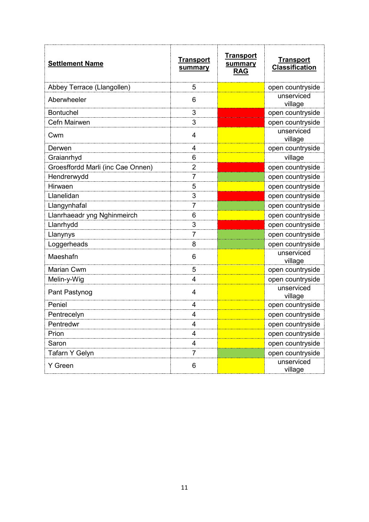| <b>Settlement Name</b>            | <u>Transport</u><br>summary | <u>Transport</u><br>summary<br><b>RAG</b> | <b>Transport</b><br><b>Classification</b> |
|-----------------------------------|-----------------------------|-------------------------------------------|-------------------------------------------|
| Abbey Terrace (Llangollen)        | 5                           |                                           | open countryside                          |
| Aberwheeler                       | 6                           |                                           | unserviced<br>village                     |
| <b>Bontuchel</b>                  | 3                           |                                           | open countryside                          |
| Cefn Mairwen                      | 3                           |                                           | open countryside                          |
| Cwm                               | 4                           |                                           | unserviced<br>village                     |
| Derwen                            | 4                           |                                           | open countryside                          |
| Graianrhyd                        | 6                           |                                           | village                                   |
| Groesffordd Marli (inc Cae Onnen) | 2                           |                                           | open countryside                          |
| Hendrerwydd                       | 7                           |                                           | open countryside                          |
| Hirwaen                           | 5                           |                                           | open countryside                          |
| Llanelidan                        | 3                           |                                           | open countryside                          |
| Llangynhafal                      | 7                           |                                           | open countryside                          |
| Llanrhaeadr yng Nghinmeirch       | 6                           |                                           | open countryside                          |
| Llanrhydd                         | 3                           |                                           | open countryside                          |
| Llanynys                          | 7                           |                                           | open countryside                          |
| Loggerheads                       | 8                           |                                           | open countryside                          |
| Maeshafn                          | 6                           |                                           | unserviced<br>village                     |
| Marian Cwm                        | 5                           |                                           | open countryside                          |
| Melin-y-Wig                       | 4                           |                                           | open countryside                          |
| Pant Pastynog                     | 4                           |                                           | unserviced<br>village                     |
| Peniel                            | 4                           |                                           | open countryside                          |
| Pentrecelyn                       | 4                           |                                           | open countryside                          |
| Pentredwr                         | 4                           |                                           | open countryside                          |
| Prion                             | 4                           |                                           | open countryside                          |
| Saron                             | 4                           |                                           | open countryside                          |
| Tafarn Y Gelyn                    | 7                           |                                           | open countryside                          |
| Y Green                           | 6                           |                                           | unserviced<br>village                     |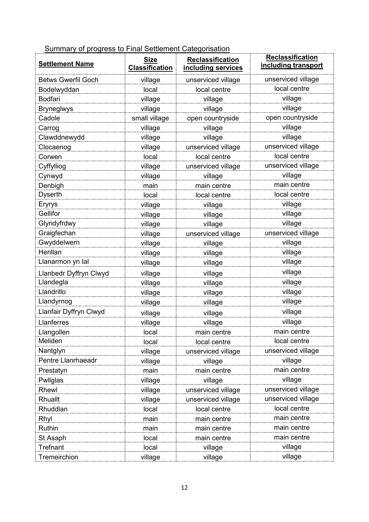Summary of progress to Final Settlement Categorisation

| <b>Settlement Name</b>    | <b>Size</b><br><b>Classification</b> | Reclassification<br>including services | <b>Reclassification</b><br>including transport |
|---------------------------|--------------------------------------|----------------------------------------|------------------------------------------------|
| <b>Betws Gwerfil Goch</b> | village                              | unserviced village                     | unserviced village                             |
| Bodelwyddan               | local                                | local centre                           | local centre                                   |
| <b>Bodfari</b>            | village                              | village                                | village                                        |
| <b>Bryneglwys</b>         | village                              | village                                | village                                        |
| Cadole                    | small village                        | open countryside                       | open countryside                               |
| Carrog                    | village                              | village                                | village                                        |
| Clawddnewydd              | village                              | village                                | village                                        |
| Clocaenog                 | village                              | unserviced village                     | unserviced village                             |
| Corwen                    | local                                | local centre                           | local centre                                   |
| Cyffylliog                | village                              | unserviced village                     | unserviced village                             |
| Cynwyd                    | village                              | village                                | village                                        |
| Denbigh                   | main                                 | main centre                            | main centre                                    |
| <b>Dyserth</b>            | local                                | local centre                           | local centre                                   |
| Eryrys                    | village                              | village                                | village                                        |
| Gellifor                  | village                              | village                                | village                                        |
| Glyndyfrdwy               | village                              | village                                | village                                        |
| Graigfechan               | village                              | unserviced village                     | unserviced village                             |
| Gwyddelwern               | village                              | village                                | village                                        |
| Henllan                   | village                              | village                                | village                                        |
| Llanarmon yn Ial          | village                              | village                                | village                                        |
| Llanbedr Dyffryn Clwyd    | village                              | village                                | village                                        |
| Llandegla                 | village                              | village                                | village                                        |
| Llandrillo                | village                              | village                                | village                                        |
| Llandyrnog                | village                              | village                                | village                                        |
| Llanfair Dyffryn Clwyd    | village                              | village                                | village                                        |
| Llanferres                | village                              | village                                | village                                        |
| Llangollen                | local                                | main centre                            | main centre                                    |
| Meliden                   | local                                | local centre                           | local centre                                   |
| Nantglyn                  | village                              | unserviced village                     | unserviced village                             |
| Pentre Llanrhaeadr        | village                              | village                                | village                                        |
| Prestatyn                 | main                                 | main centre                            | main centre                                    |
| Pwllglas                  | village                              | village                                | village                                        |
| Rhewl                     | village                              | unserviced village                     | unserviced village                             |
| Rhuallt                   | village                              | unserviced village                     | unserviced village                             |
| Rhuddlan                  | local                                | local centre                           | local centre                                   |
| Rhyl                      | main                                 | main centre                            | main centre                                    |
| Ruthin                    | main                                 | main centre                            | main centre                                    |
| St Asaph                  | local                                | main centre                            | main centre                                    |
| Trefnant                  | local                                | village                                | village                                        |
| Tremeirchion              | village                              | village                                | village                                        |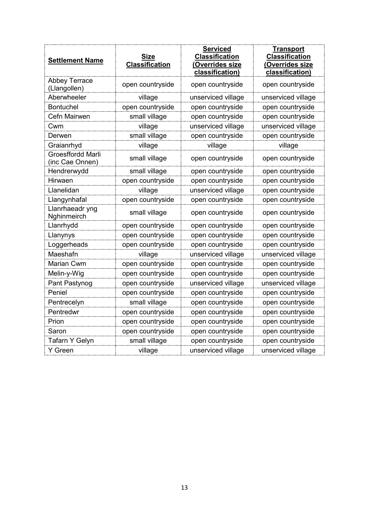| <b>Settlement Name</b>               | Size<br><b>Classification</b> | <b>Serviced</b><br><b>Classification</b><br>(Overrides size<br>classification) | <u>Transport</u><br><b>Classification</b><br>(Overrides size<br>classification) |
|--------------------------------------|-------------------------------|--------------------------------------------------------------------------------|---------------------------------------------------------------------------------|
| <b>Abbey Terrace</b><br>(Llangollen) | open countryside              | open countryside                                                               | open countryside                                                                |
| Aberwheeler                          | village                       | unserviced village                                                             | unserviced village                                                              |
| <b>Bontuchel</b>                     | open countryside              | open countryside                                                               | open countryside                                                                |
| Cefn Mairwen                         | small village                 | open countryside                                                               | open countryside                                                                |
| Cwm                                  | village                       | unserviced village                                                             | unserviced village                                                              |
| Derwen                               | small village                 | open countryside                                                               | open countryside                                                                |
| Graianrhyd                           | village                       | village                                                                        | village                                                                         |
| Groesffordd Marli<br>(inc Cae Onnen) | small village                 | open countryside                                                               | open countryside                                                                |
| Hendrerwydd                          | small village                 | open countryside                                                               | open countryside                                                                |
| Hirwaen                              | open countryside              | open countryside                                                               | open countryside                                                                |
| Llanelidan                           | village                       | unserviced village                                                             | open countryside                                                                |
| Llangynhafal                         | open countryside              | open countryside                                                               | open countryside                                                                |
| Llanrhaeadr yng<br>Nghinmeirch       | small village                 | open countryside                                                               | open countryside                                                                |
| Llanrhydd                            | open countryside              | open countryside                                                               | open countryside                                                                |
| Llanynys                             | open countryside              | open countryside                                                               | open countryside                                                                |
| Loggerheads                          | open countryside              | open countryside                                                               | open countryside                                                                |
| Maeshafn                             | village                       | unserviced village                                                             | unserviced village                                                              |
| Marian Cwm                           | open countryside              | open countryside                                                               | open countryside                                                                |
| Melin-y-Wig                          | open countryside              | open countryside                                                               | open countryside                                                                |
| Pant Pastynog                        | open countryside              | unserviced village                                                             | unserviced village                                                              |
| Peniel                               | open countryside              | open countryside                                                               | open countryside                                                                |
| Pentrecelyn                          | small village                 | open countryside                                                               | open countryside                                                                |
| Pentredwr                            | open countryside              | open countryside                                                               | open countryside                                                                |
| Prion                                | open countryside              | open countryside                                                               | open countryside                                                                |
| Saron                                | open countryside              | open countryside                                                               | open countryside                                                                |
| Tafarn Y Gelyn                       | small village                 | open countryside                                                               | open countryside                                                                |
| Y Green                              | village                       | unserviced village                                                             | unserviced village                                                              |